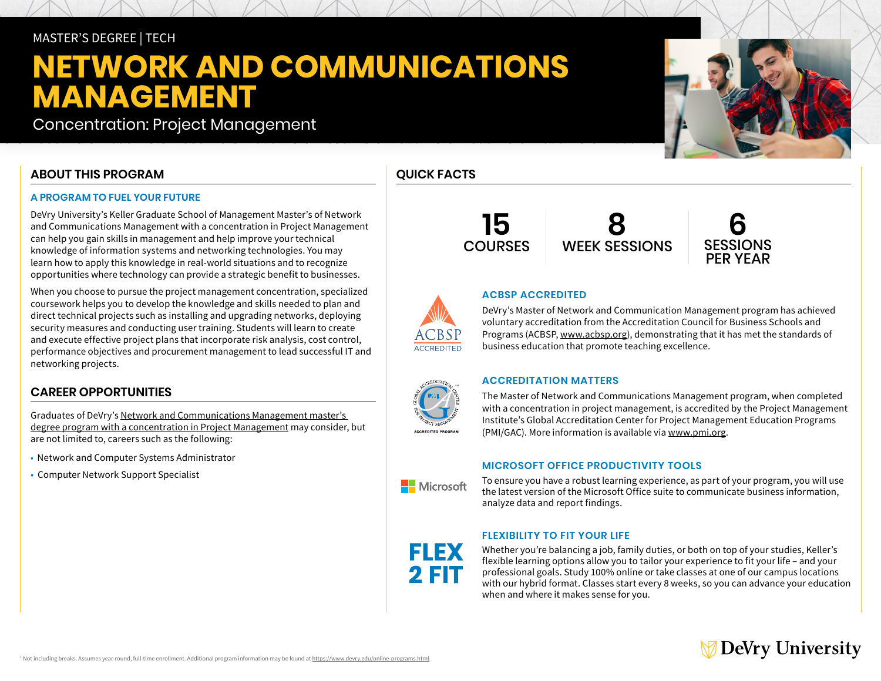## MASTER'S DEGREE | TECH

# **NETWORK AND COMMUNICATIONS MANAGEMENT**

Concentration: Project Management

## **ABOUT THIS PROGRAM**

## **A PROGRAM TO FUEL YOUR FUTURE**

DeVry University's Keller Graduate School of Management Master's of Network and Communications Management with a concentration in Project Management can help you gain skills in management and help improve your technical knowledge of information systems and networking technologies. You may learn how to apply this knowledge in real-world situations and to recognize opportunities where technology can provide a strategic benefit to businesses.

When you choose to pursue the project management concentration, specialized coursework helps you to develop the knowledge and skills needed to plan and direct technical projects such as installing and upgrading networks, deploying security measures and conducting user training. Students will learn to create and execute effective project plans that incorporate risk analysis, cost control, performance objectives and procurement management to lead successful IT and networking projects.

## **CAREER OPPORTUNITIES**

Graduates of DeVry's [Network and Communications Management master's](https://www.devry.edu/online-programs/masters-degrees/network-and-communications-management.html)  [degree program with a concentration in Project Management](https://www.devry.edu/online-programs/masters-degrees/network-and-communications-management.html) may consider, but are not limited to, careers such as the following:

- Network and Computer Systems Administrator
- Computer Network Support Specialist

## **QUICK FACTS**

# **15 COURSES**

**8** WEEK SESSIONS

# **6 SESSIONS** PER YEAR

## **ACBSP ACCREDITED**

DeVry's Master of Network and Communication Management program has achieved voluntary accreditation from the Accreditation Council for Business Schools and Programs (ACBSP, [www.acbsp.org\)](https://www.acbsp.org), demonstrating that it has met the standards of business education that promote teaching excellence.

## **ACCREDITATION MATTERS**

The Master of Network and Communications Management program, when completed with a concentration in project management, is accredited by the Project Management Institute's Global Accreditation Center for Project Management Education Programs (PMI/GAC). More information is available via [www.pmi.org.](https://www.pmi.org)

## **MICROSOFT OFFICE PRODUCTIVITY TOOLS**

To ensure you have a robust learning experience, as part of your program, you will use the latest version of the Microsoft Office suite to communicate business information, analyze data and report findings.

### **FLEXIBILITY TO FIT YOUR LIFE**

Whether you're balancing a job, family duties, or both on top of your studies, Keller's flexible learning options allow you to tailor your experience to fit your life – and your professional goals. Study 100% online or take classes at one of our campus locations with our hybrid format. Classes start every 8 weeks, so you can advance your education when and where it makes sense for you.

# DeVry University





**Nicrosoft** 

**FLEX** 

2 FIT

**ACCREDITED**